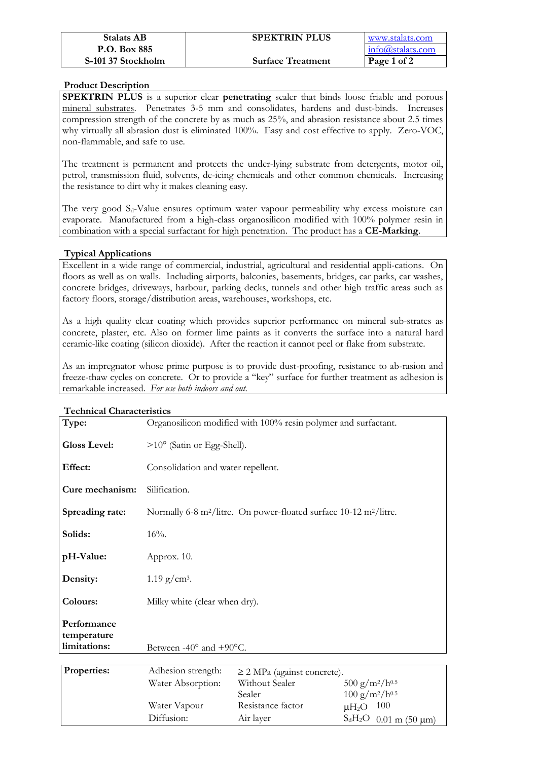| <b>Stalats AB</b>  | <b>SPEKTRIN PLUS</b>     | www.stalats.com  |
|--------------------|--------------------------|------------------|
| P.O. Box 885       |                          | info@stalats.com |
| S-101 37 Stockholm | <b>Surface Treatment</b> | Page 1 of 2      |

# **Product Description**

**SPEKTRIN PLUS** is a superior clear **penetrating** sealer that binds loose friable and porous mineral substrates. Penetrates 3-5 mm and consolidates, hardens and dust-binds. Increases compression strength of the concrete by as much as 25%, and abrasion resistance about 2.5 times why virtually all abrasion dust is eliminated 100%. Easy and cost effective to apply. Zero-VOC, non-flammable, and safe to use.

The treatment is permanent and protects the under-lying substrate from detergents, motor oil, petrol, transmission fluid, solvents, de-icing chemicals and other common chemicals. Increasing the resistance to dirt why it makes cleaning easy.

The very good S<sub>d</sub>-Value ensures optimum water vapour permeability why excess moisture can evaporate. Manufactured from a high-class organosilicon modified with 100% polymer resin in combination with a special surfactant for high penetration. The product has a **CE-Marking**.

# **Typical Applications**

Excellent in a wide range of commercial, industrial, agricultural and residential appli-cations. On floors as well as on walls. Including airports, balconies, basements, bridges, car parks, car washes, concrete bridges, driveways, harbour, parking decks, tunnels and other high traffic areas such as factory floors, storage/distribution areas, warehouses, workshops, etc.

As a high quality clear coating which provides superior performance on mineral sub-strates as concrete, plaster, etc. Also on former lime paints as it converts the surface into a natural hard ceramic-like coating (silicon dioxide). After the reaction it cannot peel or flake from substrate.

As an impregnator whose prime purpose is to provide dust-proofing, resistance to ab-rasion and freeze-thaw cycles on concrete. Or to provide a "key" surface for further treatment as adhesion is remarkable increased. *For use both indoors and out.* 

| I echnical Characteristics                 |                                                                                                                                                                                                                                          |
|--------------------------------------------|------------------------------------------------------------------------------------------------------------------------------------------------------------------------------------------------------------------------------------------|
| Type:                                      | Organosilicon modified with 100% resin polymer and surfactant.                                                                                                                                                                           |
| <b>Gloss Level:</b>                        | $>10^{\circ}$ (Satin or Egg-Shell).                                                                                                                                                                                                      |
| Effect:                                    | Consolidation and water repellent.                                                                                                                                                                                                       |
| Cure mechanism:                            | Silification.                                                                                                                                                                                                                            |
| Spreading rate:                            | Normally 6-8 m <sup>2</sup> /litre. On power-floated surface 10-12 m <sup>2</sup> /litre.                                                                                                                                                |
| Solids:                                    | $16%$ .                                                                                                                                                                                                                                  |
| pH-Value:                                  | Approx. 10.                                                                                                                                                                                                                              |
| Density:                                   | $1.19$ g/cm <sup>3</sup> .                                                                                                                                                                                                               |
| Colours:                                   | Milky white (clear when dry).                                                                                                                                                                                                            |
| Performance<br>temperature<br>limitations: | Between -40 $\degree$ and +90 $\degree$ C.                                                                                                                                                                                               |
|                                            |                                                                                                                                                                                                                                          |
| Properties:                                | Adhesion strength:<br>$\geq$ 2 MPa (against concrete).<br>$F \cap \cap$ $I \cap I \cap F$<br>$\mathbf{X} \mathbf{X} \mathbf{Y} \mathbf{Y}$ and $\mathbf{Y} \mathbf{Y} \mathbf{Y}$<br><b>TYTT</b> 1<br>$\sim$ $\sim$ $\sim$ $\sim$ $\sim$ |

# $T \cdot T$

| <b>Properties:</b> | Adhesion strength: | $\geq$ 2 MPa (against concrete). |                                 |
|--------------------|--------------------|----------------------------------|---------------------------------|
|                    | Water Absorption:  | Without Sealer                   | $500 g/m^2/h^{0.5}$             |
|                    |                    | Sealer.                          | $100 g/m^2/h^{0.5}$             |
|                    | Water Vapour       | Resistance factor                | - 100<br>$\mu$ H <sub>2</sub> O |
|                    | Diffusion:         | Air layer                        | $S_dH_2O$ 0.01 m (50 µm)        |